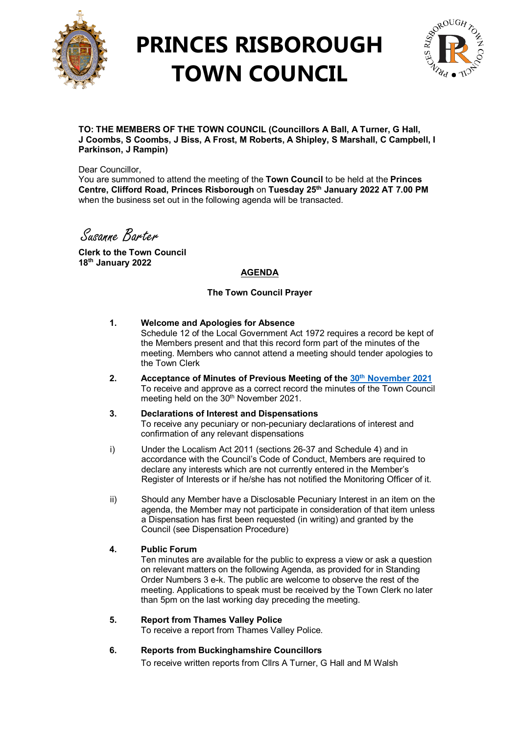

# **PRINCES RISBOROUGH TOWN COUNCIL**



**TO: THE MEMBERS OF THE TOWN COUNCIL (Councillors A Ball, A Turner, G Hall, J Coombs, S Coombs, J Biss, A Frost, M Roberts, A Shipley, S Marshall, C Campbell, I Parkinson, J Rampin)**

Dear Councillor.

You are summoned to attend the meeting of the **Town Council** to be held at the **Princes Centre, Clifford Road, Princes Risborough** on **Tuesday 25th January 2022 AT 7.00 PM**  when the business set out in the following agenda will be transacted.

Susanne Barter

**Clerk to the Town Council 18th January 2022**

### **AGENDA**

### **The Town Council Prayer**

#### **1. Welcome and Apologies for Absence**

Schedule 12 of the Local Government Act 1972 requires a record be kept of the Members present and that this record form part of the minutes of the meeting. Members who cannot attend a meeting should tender apologies to the Town Clerk

- **2. Acceptance of Minutes of Previous Meeting of the 30th [November 2021](http://www.princesrisboroughtowncouncil.gov.uk/_UserFiles/Files/_Minutes/135195-Town_Council_Mins_30th_November__2021.pdf)**  To receive and approve as a correct record the minutes of the Town Council meeting held on the 30<sup>th</sup> November 2021.
- **3. Declarations of Interest and Dispensations**  To receive any pecuniary or non-pecuniary declarations of interest and confirmation of any relevant dispensations
- i) Under the Localism Act 2011 (sections 26-37 and Schedule 4) and in accordance with the Council's Code of Conduct, Members are required to declare any interests which are not currently entered in the Member's Register of Interests or if he/she has not notified the Monitoring Officer of it.
- ii) Should any Member have a Disclosable Pecuniary Interest in an item on the agenda, the Member may not participate in consideration of that item unless a Dispensation has first been requested (in writing) and granted by the Council (see Dispensation Procedure)

#### **4. Public Forum**

Ten minutes are available for the public to express a view or ask a question on relevant matters on the following Agenda, as provided for in Standing Order Numbers 3 e-k. The public are welcome to observe the rest of the meeting. Applications to speak must be received by the Town Clerk no later than 5pm on the last working day preceding the meeting.

#### **5. Report from Thames Valley Police**

To receive a report from Thames Valley Police.

## **6. Reports from Buckinghamshire Councillors**

To receive written reports from Cllrs A Turner, G Hall and M Walsh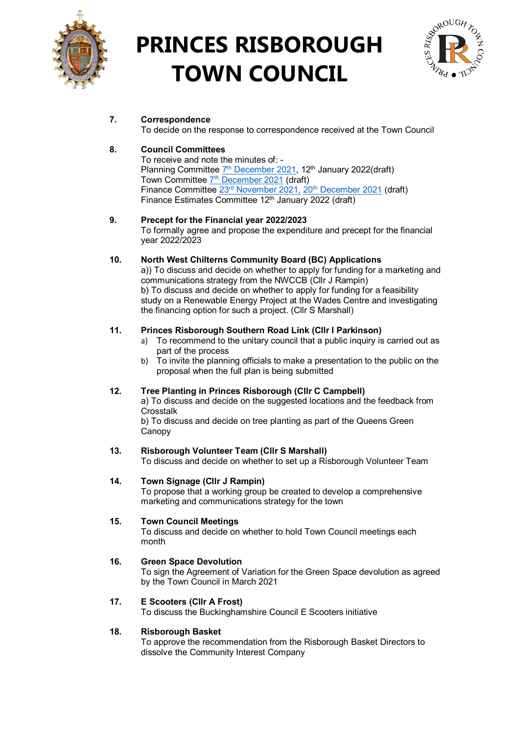

# **PRINCES RISBOROUGH TOWN COUNCIL**



# **7. Correspondence**

To decide on the response to correspondence received at the Town Council

## **8. Council Committees**

To receive and note the minutes of: - Planning Committee 7<sup>th</sup> [December](http://www.princesrisboroughtowncouncil.gov.uk/_UserFiles/Files/_Minutes/135555-Planning_Mins_7th_December_2021.pdf) 2021, 12<sup>th</sup> January 2022(draft) Town Committee 7<sup>th</sup> [December](http://www.princesrisboroughtowncouncil.gov.uk/_UserFiles/Files/_Minutes/135580-Town_Committee_mins_7th_December_2021.pd) 2021 (draft) Finance Committee 23<sup>rd</sup> [November](http://www.princesrisboroughtowncouncil.gov.uk/_UserFiles/Files/_Minutes/134854-Finance__mins__Nov_23rd_2021.pdf) 2021, 20<sup>th</sup> [December](http://www.princesrisboroughtowncouncil.gov.uk/_UserFiles/Files/_Minutes/136487-Finance__mins__Dec_20th_2021.pdf) 2021 (draft) Finance Estimates Committee 12<sup>th</sup> January 2022 (draft)

## **9. Precept for the Financial year 2022/2023**

To formally agree and propose the expenditure and precept for the financial year 2022/2023

## **10. North West Chilterns Community Board (BC) Applications**

a)) To discuss and decide on whether to apply for funding for a marketing and communications strategy from the NWCCB (Cllr J Rampin) b) To discuss and decide on whether to apply for funding for a feasibility study on a Renewable Energy Project at the Wades Centre and investigating the financing option for such a project. (Cllr S Marshall)

## **11. Princes Risborough Southern Road Link (Cllr I Parkinson)**

- a) To recommend to the unitary council that a public inquiry is carried out as part of the process
- b) To invite the planning officials to make a presentation to the public on the proposal when the full plan is being submitted

## **12. Tree Planting in Princes Risborough (Cllr C Campbell)**

a) To discuss and decide on the suggested locations and the feedback from **Crosstalk** 

b) To discuss and decide on tree planting as part of the Queens Green Canopy

## **13. Risborough Volunteer Team (Cllr S Marshall)**

To discuss and decide on whether to set up a Risborough Volunteer Team

## **14. Town Signage (Cllr J Rampin)**

To propose that a working group be created to develop a comprehensive marketing and communications strategy for the town

## **15. Town Council Meetings**

To discuss and decide on whether to hold Town Council meetings each month

## **16. Green Space Devolution**

To sign the Agreement of Variation for the Green Space devolution as agreed by the Town Council in March 2021

## **17. E Scooters (Cllr A Frost)**

To discuss the Buckinghamshire Council E Scooters initiative

## **18. Risborough Basket**

To approve the recommendation from the Risborough Basket Directors to dissolve the Community Interest Company